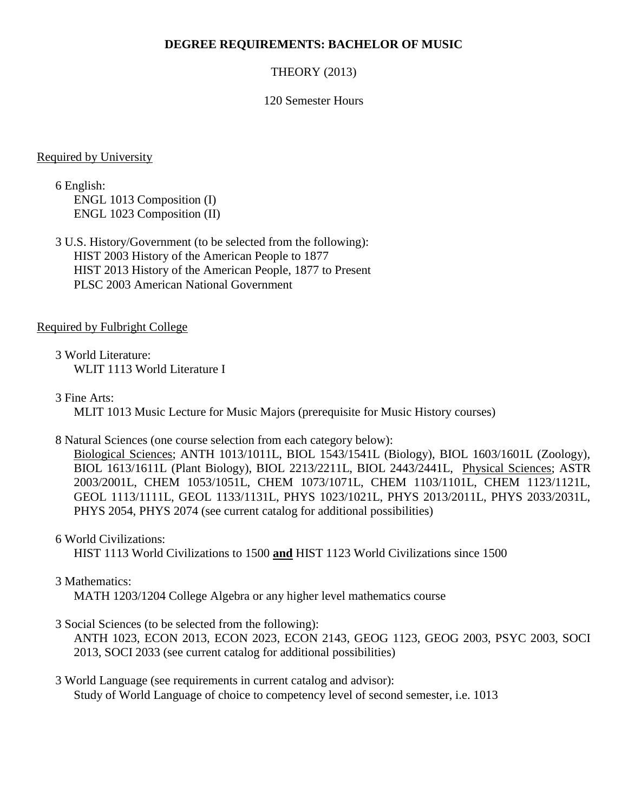#### **DEGREE REQUIREMENTS: BACHELOR OF MUSIC**

### THEORY (2013)

#### 120 Semester Hours

#### Required by University

6 English: ENGL 1013 Composition (I) ENGL 1023 Composition (II)

3 U.S. History/Government (to be selected from the following): HIST 2003 History of the American People to 1877 HIST 2013 History of the American People, 1877 to Present PLSC 2003 American National Government

#### Required by Fulbright College

3 World Literature: WLIT 1113 World Literature I

3 Fine Arts:

MLIT 1013 Music Lecture for Music Majors (prerequisite for Music History courses)

#### 8 Natural Sciences (one course selection from each category below):

Biological Sciences; ANTH 1013/1011L, BIOL 1543/1541L (Biology), BIOL 1603/1601L (Zoology), BIOL 1613/1611L (Plant Biology), BIOL 2213/2211L, BIOL 2443/2441L, Physical Sciences; ASTR 2003/2001L, CHEM 1053/1051L, CHEM 1073/1071L, CHEM 1103/1101L, CHEM 1123/1121L, GEOL 1113/1111L, GEOL 1133/1131L, PHYS 1023/1021L, PHYS 2013/2011L, PHYS 2033/2031L, PHYS 2054, PHYS 2074 (see current catalog for additional possibilities)

#### 6 World Civilizations:

HIST 1113 World Civilizations to 1500 **and** HIST 1123 World Civilizations since 1500

#### 3 Mathematics:

MATH 1203/1204 College Algebra or any higher level mathematics course

#### 3 Social Sciences (to be selected from the following):

ANTH 1023, ECON 2013, ECON 2023, ECON 2143, GEOG 1123, GEOG 2003, PSYC 2003, SOCI 2013, SOCI 2033 (see current catalog for additional possibilities)

3 World Language (see requirements in current catalog and advisor): Study of World Language of choice to competency level of second semester, i.e. 1013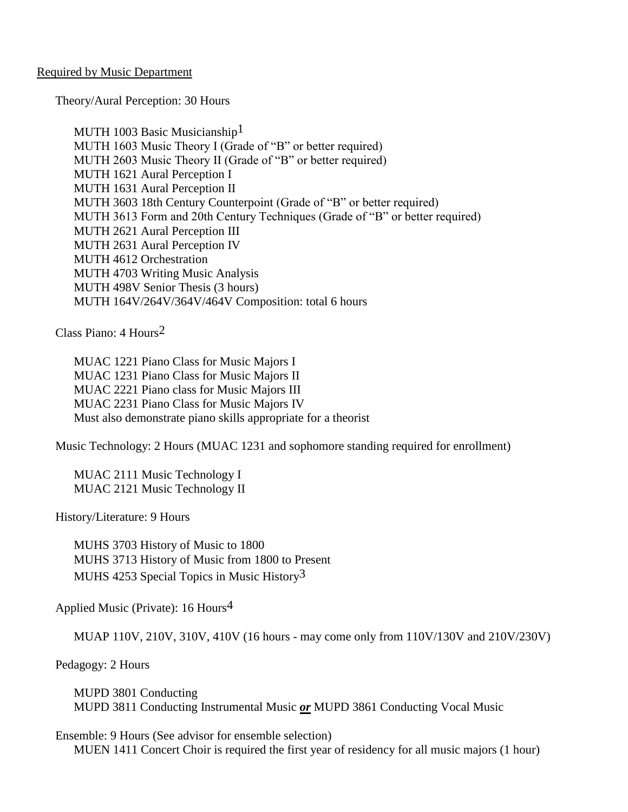#### Required by Music Department

Theory/Aural Perception: 30 Hours

MUTH 1003 Basic Musicianship<sup>1</sup> MUTH 1603 Music Theory I (Grade of "B" or better required) MUTH 2603 Music Theory II (Grade of "B" or better required) MUTH 1621 Aural Perception I MUTH 1631 Aural Perception II MUTH 3603 18th Century Counterpoint (Grade of "B" or better required) MUTH 3613 Form and 20th Century Techniques (Grade of "B" or better required) MUTH 2621 Aural Perception III MUTH 2631 Aural Perception IV MUTH 4612 Orchestration MUTH 4703 Writing Music Analysis MUTH 498V Senior Thesis (3 hours) MUTH 164V/264V/364V/464V Composition: total 6 hours

Class Piano: 4 Hours2

MUAC 1221 Piano Class for Music Majors I MUAC 1231 Piano Class for Music Majors II MUAC 2221 Piano class for Music Majors III MUAC 2231 Piano Class for Music Majors IV Must also demonstrate piano skills appropriate for a theorist

Music Technology: 2 Hours (MUAC 1231 and sophomore standing required for enrollment)

MUAC 2111 Music Technology I MUAC 2121 Music Technology II

History/Literature: 9 Hours

MUHS 3703 History of Music to 1800 MUHS 3713 History of Music from 1800 to Present MUHS 4253 Special Topics in Music History<sup>3</sup>

Applied Music (Private): 16 Hours4

MUAP 110V, 210V, 310V, 410V (16 hours - may come only from 110V/130V and 210V/230V)

Pedagogy: 2 Hours

MUPD 3801 Conducting MUPD 3811 Conducting Instrumental Music *or* MUPD 3861 Conducting Vocal Music

Ensemble: 9 Hours (See advisor for ensemble selection)

MUEN 1411 Concert Choir is required the first year of residency for all music majors (1 hour)